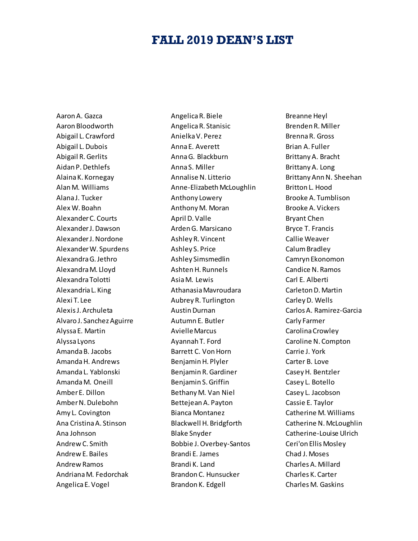## **FALL 2019 DEAN'S LIST**

Aaron A. Gazca Aaron Bloodworth Abigail L. Crawford Abigail L. Dubois Abigail R. Gerlits Aidan P. Dethlefs Alaina K. Kornegay Alan M. Williams Alana J. Tucker Alex W. Boahn Alexander C. Courts Alexander J. Dawson Alexander J. Nordone Alexander W. Spurdens Alexandra G. Jethro Alexandra M. Lloyd Alexandra Tolotti Alexandria L. King Alexi T. Lee Alexis J. Archuleta Alvaro J. Sanchez Aguirre Alyssa E. Martin Alyssa Lyons Amanda B. Jacobs Amanda H. Andrews Amanda L. Yablonski Amanda M. Oneill Amber E. Dillon Amber N. Dulebohn Amy L. Covington Ana Cristina A. Stinson Ana Johnson Andrew C. Smith Andrew E. Bailes Andrew Ramos Andriana M. Fedorchak Angelica E. Vogel

Angelica R. Biele Angelica R. Stanisic Anielka V. Perez Anna E. Averett Anna G. Blackburn Anna S. Miller Annalise N. Litterio Anne-Elizabeth McLoughlin Anthony Lowery Anthony M. Moran April D. Valle Arden G. Marsicano Ashley R. Vincent Ashley S. Price Ashley Simsmedlin Ashten H. Runnels Asia M. Lewis Athanasia Mavroudara Aubrey R. Turlington Austin Durnan Autumn E. Butler Avielle Marcus Ayannah T. Ford Barrett C. Von Horn Benjamin H. Plyler Benjamin R. Gardiner Benjamin S. Griffin Bethany M. Van Niel Bettejean A. Payton Bianca Montanez Blackwell H. Bridgforth Blake Snyder Bobbie J. Overbey-Santos Brandi E. James Brandi K. Land Brandon C. Hunsucker Brandon K. Edgell

Breanne Heyl Brenden R. Miller Brenna R. Gross Brian A. Fuller Brittany A. Bracht Brittany A. Long Brittany Ann N. Sheehan Britton L. Hood Brooke A. Tumblison Brooke A. Vickers Bryant Chen Bryce T. Francis Callie Weaver Calum Bradley Camryn Ekonomon Candice N. Ramos Carl E. Alberti Carleton D. Martin Carley D. Wells Carlos A. Ramirez-Garcia Carly Farmer Carolina Crowley Caroline N. Compton Carrie J. York Carter B. Love Casey H. Bentzler Casey L. Botello Casey L. Jacobson Cassie E. Taylor Catherine M. Williams Catherine N. McLoughlin Catherine-Louise Ulrich Ceri'on Ellis Mosley Chad J. Moses Charles A. Millard Charles K. Carter Charles M. Gaskins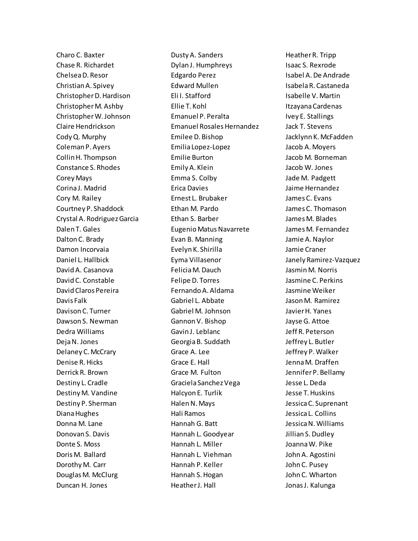Charo C. Baxter Chase R. Richardet Chelsea D. Resor Christian A. Spivey Christopher D. Hardison Christopher M. Ashby Christopher W. Johnson Claire Hendrickson Cody Q. Murphy Coleman P. Ayers Collin H. Thompson Constance S. Rhodes Corey Mays Corina J. Madrid Cory M. Railey Courtney P. Shaddock Crystal A. Rodriguez Garcia Dalen T. Gales Dalton C. Brady Damon Incorvaia Daniel L. Hallbick David A. Casanova David C. Constable David Claros Pereira Davis Falk Davison C. Turner Dawson S. Newman Dedra Williams Deja N. Jones Delaney C. McCrary Denise R. Hicks Derrick R. Brown Destiny L. Cradle Destiny M. Vandine Destiny P. Sherman Diana Hughes Donna M. Lane Donovan S. Davis Donte S. Moss Doris M. Ballard Dorothy M. Carr Douglas M. McClurg Duncan H. Jones

Dusty A. Sanders Dylan J. Humphreys Edgardo Perez Edward Mullen Eli I. Stafford Ellie T. Kohl Emanuel P. Peralta Emanuel Rosales Hernandez Emilee D. Bishop Emilia Lopez-Lopez Emilie Burton Emily A. Klein Emma S. Colby Erica Davies Ernest L. Brubaker Ethan M. Pardo Ethan S. Barber Eugenio Matus Navarrete Evan B. Manning Evelyn K. Shirilla Eyma Villasenor Felicia M. Dauch Felipe D. Torres Fernando A. Aldama Gabriel L. Abbate Gabriel M. Johnson Gannon V. Bishop Gavin J. Leblanc Georgia B. Suddath Grace A. Lee Grace E. Hall Grace M. Fulton Graciela Sanchez Vega Halcyon E. Turlik Halen N. Mays Hali Ramos Hannah G. Batt Hannah L. Goodyear Hannah L. Miller Hannah L. Viehman Hannah P. Keller Hannah S. Hogan Heather J. Hall

Heather R. Tripp Isaac S. Rexrode Isabel A. De Andrade Isabela R. Castaneda Isabelle V. Martin Itzayana Cardenas Ivey E. Stallings Jack T. Stevens Jacklynn K. McFadden Jacob A. Moyers Jacob M. Borneman Jacob W. Jones Jade M. Padgett Jaime Hernandez James C. Evans James C. Thomason James M. Blades James M. Fernandez Jamie A. Naylor Jamie Craner Janely Ramirez-Vazquez Jasmin M. Norris Jasmine C. Perkins Jasmine Weiker Jason M. Ramirez Javier H. Yanes Jayse G. Attoe Jeff R. Peterson Jeffrey L. Butler Jeffrey P. Walker Jenna M. Draffen Jennifer P. Bellamy Jesse L. Deda Jesse T. Huskins Jessica C. Suprenant Jessica L. Collins Jessica N. Williams Jillian S. Dudley Joanna W. Pike John A. Agostini John C. Pusey John C. Wharton Jonas J. Kalunga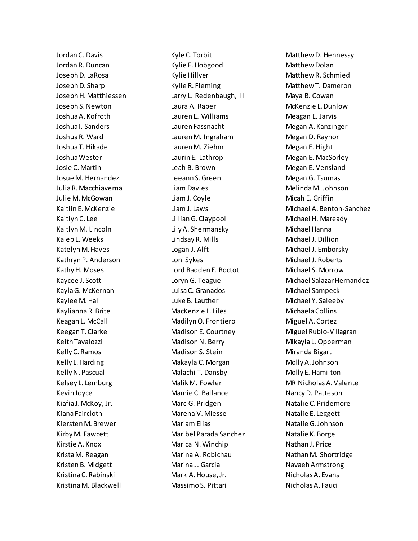Jordan C. Davis Jordan R. Duncan Joseph D. LaRosa Joseph D. Sharp Joseph H. Matthiessen Joseph S. Newton Joshua A. Kofroth Joshua I. Sanders Joshua R. Ward Joshua T. Hikade Joshua Wester Josie C. Martin Josue M. Hernandez Julia R. Macchiaverna Julie M. McGowan Kaitlin E. McKenzie Kaitlyn C. Lee Kaitlyn M. Lincoln Kaleb L. Weeks Katelyn M. Haves Kathryn P. Anderson Kathy H. Moses Kaycee J. Scott Kayla G. McKernan Kaylee M. Hall Kaylianna R. Brite Keagan L. McCall Keegan T. Clarke Keith Tavalozzi Kelly C. Ramos Kelly L. Harding Kelly N. Pascual Kelsey L. Lemburg Kevin Joyce Kiafia J. McKoy, Jr. Kiana Faircloth Kiersten M. Brewer Kirby M. Fawcett Kirstie A. Knox Krista M. Reagan Kristen B. Midgett Kristina C. Rabinski Kristina M. Blackwell

Kyle C. Torbit Kylie F. Hobgood Kylie Hillyer Kylie R. Fleming Larry L. Redenbaugh, III Laura A. Raper Lauren E. Williams Lauren Fassnacht Lauren M. Ingraham Lauren M. Ziehm Laurin E. Lathrop Leah B. Brown Leeann S. Green Liam Davies Liam J. Coyle Liam J. Laws Lillian G. Claypool Lily A. Shermansky Lindsay R. Mills Logan J. Alft Loni Sykes Lord Badden E. Boctot Loryn G. Teague Luisa C. Granados Luke B. Lauther MacKenzie L. Liles Madilyn O. Frontiero Madison E. Courtney Madison N. Berry Madison S. Stein Makayla C. Morgan Malachi T. Dansby Malik M. Fowler Mamie C. Ballance Marc G. Pridgen Marena V. Miesse Mariam Elias Maribel Parada Sanchez Marica N. Winchip Marina A. Robichau Marina J. Garcia Mark A. House, Jr. Massimo S. Pittari

Matthew D. Hennessy Matthew Dolan Matthew R. Schmied Matthew T. Dameron Maya B. Cowan McKenzie L. Dunlow Meagan E. Jarvis Megan A. Kanzinger Megan D. Raynor Megan E. Hight Megan E. MacSorley Megan E. Vensland Megan G. Tsumas Melinda M. Johnson Micah E. Griffin Michael A. Benton-Sanchez Michael H. Maready Michael Hanna Michael J. Dillion Michael J. Emborsky Michael J. Roberts Michael S. Morrow Michael Salazar Hernandez Michael Sampeck Michael Y. Saleeby Michaela Collins Miguel A. Cortez Miguel Rubio-Villagran Mikayla L. Opperman Miranda Bigart Molly A. Johnson Molly E. Hamilton MR Nicholas A. Valente Nancy D. Patteson Natalie C. Pridemore Natalie E. Leggett Natalie G. Johnson Natalie K. Borge Nathan J. Price Nathan M. Shortridge NavaehArmstrong Nicholas A. Evans Nicholas A. Fauci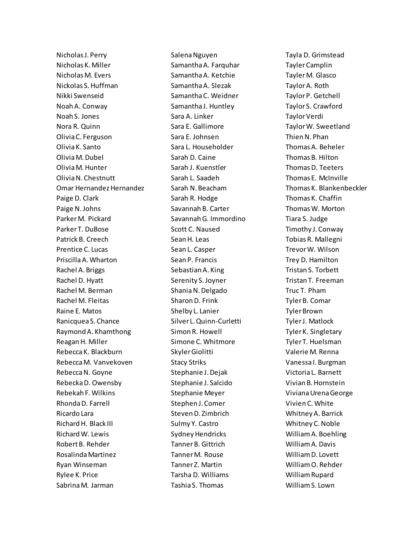Nicholas J. Perry Nicholas K. Miller Nicholas M. Evers Nickolas S. Huffman Nikki Swenseid Noah A. Conway Noah S. Jones Nora R. Quinn Olivia C. Ferguson Olivia K. Santo Olivia M. Dubel Olivia M. Hunter Olivia N. Chestnutt Omar Hernandez Hernandez Paige D. Clark Paige N. Johns Parker M. Pickard Parker T. DuBose Patrick B. Creech Prentice C. Lucas Priscilla A. Wharton Rachel A. Briggs Rachel D. Hyatt Rachel M. Berman Rachel M. Fleitas Raine E. Matos Ranicquea S. Chance Raymond A. Khamthong Reagan H. Miller Rebecca K. Blackburn Rebecca M. Vanvekoven Rebecca N. Goyne Rebecka D. Owensby Rebekah F. Wilkins Rhonda D. Farrell Ricardo Lara Richard H. Black III Richard W. Lewis Robert B. Rehder Rosalinda Martinez Ryan Winseman Rylee K. Price Sabrina M. Jarman

Salena Nguyen Samantha A. Farquhar Samantha A. Ketchie Samantha A. Slezak Samantha C. Weidner Samantha J. Huntley Sara A. Linker Sara E. Gallimore Sara E. Johnsen Sara L. Householder Sarah D. Caine Sarah J. Kuenstler Sarah L. Saadeh Sarah N. Beacham Sarah R. Hodge Savannah B. Carter Savannah G. Immordino Scott C. Naused Sean H. Leas Sean L. Casper Sean P. Francis Sebastian A. King Serenity S. Joyner Shania N. Delgado Sharon D. Frink Shelby L. Lanier Silver L. Quinn-Curletti Simon R. Howell Simone C. Whitmore Skyler Giolitti Stacy Striks Stephanie J. Dejak Stephanie J. Salcido Stephanie Meyer Stephen J. Comer Steven D. Zimbrich Sulmy Y. Castro Sydney Hendricks Tanner B. Gittrich Tanner M. Rouse Tanner Z. Martin Tarsha D. Williams Tashia S. Thomas

Tayla D. Grimstead Tayler Camplin Tayler M. Glasco Taylor A. Roth Taylor P. Getchell Taylor S. Crawford Taylor Verdi Taylor W. Sweetland Thien N. Phan Thomas A. Beheler Thomas B. Hilton Thomas D. Teeters Thomas E. McInville Thomas K. Blankenbeckler Thomas K. Chaffin Thomas W. Morton Tiara S. Judge Timothy J. Conway Tobias R. Mallegni Trevor W. Wilson Trey D. Hamilton Tristan S. Torbett Tristan T. Freeman Truc T. Pham Tyler B. Comar Tyler Brown Tyler J. Matlock Tyler K. Singletary Tyler T. Huelsman Valerie M. Renna Vanessa I. Burgman Victoria L. Barnett Vivian B. Hornstein Viviana Urena George Vivien C. White Whitney A. Barrick Whitney C. Noble William A. Boehling William A. Davis William D. Lovett William O. Rehder William Rupard William S. Lown